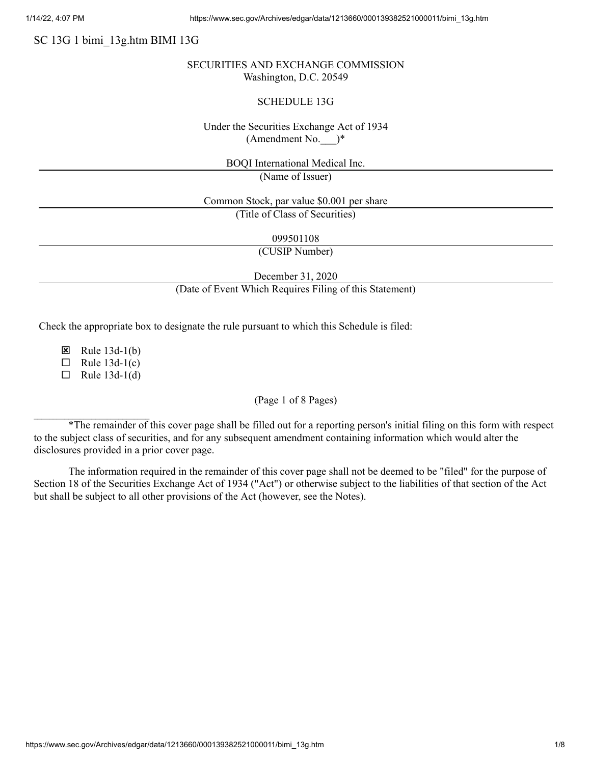SC 13G 1 bimi\_13g.htm BIMI 13G

### SECURITIES AND EXCHANGE COMMISSION Washington, D.C. 20549

### SCHEDULE 13G

## Under the Securities Exchange Act of 1934 (Amendment No.  $)*$

BOQI International Medical Inc.

(Name of Issuer)

Common Stock, par value \$0.001 per share

(Title of Class of Securities)

099501108

(CUSIP Number)

December 31, 2020

(Date of Event Which Requires Filing of this Statement)

Check the appropriate box to designate the rule pursuant to which this Schedule is filed:

E Rule  $13d-1(b)$ 

 $\Box$  Rule 13d-1(c)

 $\Box$  Rule 13d-1(d)

#### (Page 1 of 8 Pages)

\*The remainder of this cover page shall be filled out for a reporting person's initial filing on this form with respect to the subject class of securities, and for any subsequent amendment containing information which would alter the disclosures provided in a prior cover page.

The information required in the remainder of this cover page shall not be deemed to be "filed" for the purpose of Section 18 of the Securities Exchange Act of 1934 ("Act") or otherwise subject to the liabilities of that section of the Act but shall be subject to all other provisions of the Act (however, see the Notes).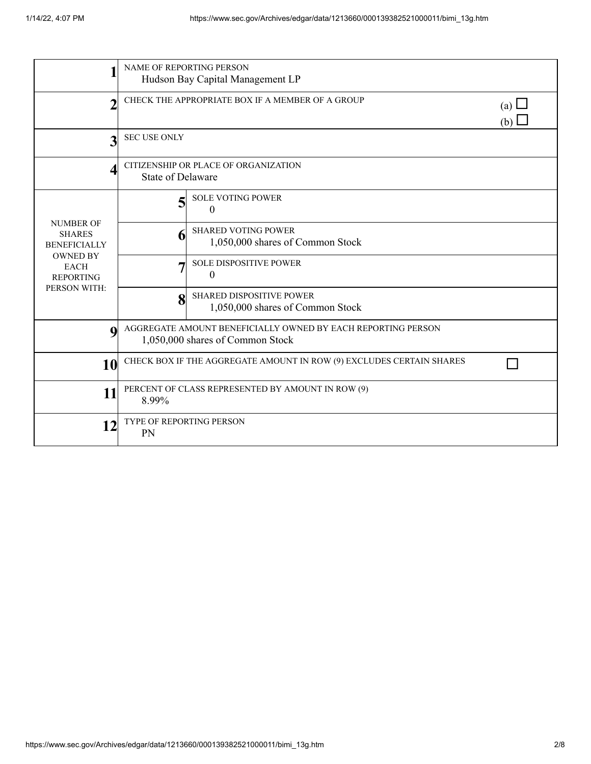| 1                                                                                                                              | NAME OF REPORTING PERSON<br>Hudson Bay Capital Management LP                                     |                                                                |  |  |
|--------------------------------------------------------------------------------------------------------------------------------|--------------------------------------------------------------------------------------------------|----------------------------------------------------------------|--|--|
| $\overline{2}$                                                                                                                 | CHECK THE APPROPRIATE BOX IF A MEMBER OF A GROUP                                                 | (a) $\Box$<br>(b)                                              |  |  |
| 3                                                                                                                              | <b>SEC USE ONLY</b>                                                                              |                                                                |  |  |
| 4                                                                                                                              | CITIZENSHIP OR PLACE OF ORGANIZATION<br><b>State of Delaware</b>                                 |                                                                |  |  |
| <b>NUMBER OF</b><br><b>SHARES</b><br><b>BENEFICIALLY</b><br><b>OWNED BY</b><br><b>EACH</b><br><b>REPORTING</b><br>PERSON WITH: | 5                                                                                                | <b>SOLE VOTING POWER</b><br>$\theta$                           |  |  |
|                                                                                                                                | 6                                                                                                | <b>SHARED VOTING POWER</b><br>1,050,000 shares of Common Stock |  |  |
|                                                                                                                                |                                                                                                  | SOLE DISPOSITIVE POWER<br>$\boldsymbol{0}$                     |  |  |
|                                                                                                                                | 8                                                                                                | SHARED DISPOSITIVE POWER<br>1,050,000 shares of Common Stock   |  |  |
| $\boldsymbol{Q}$                                                                                                               | AGGREGATE AMOUNT BENEFICIALLY OWNED BY EACH REPORTING PERSON<br>1,050,000 shares of Common Stock |                                                                |  |  |
| 10                                                                                                                             | CHECK BOX IF THE AGGREGATE AMOUNT IN ROW (9) EXCLUDES CERTAIN SHARES                             |                                                                |  |  |
| 11                                                                                                                             | PERCENT OF CLASS REPRESENTED BY AMOUNT IN ROW (9)<br>8.99%                                       |                                                                |  |  |
| 12                                                                                                                             | TYPE OF REPORTING PERSON<br>PN                                                                   |                                                                |  |  |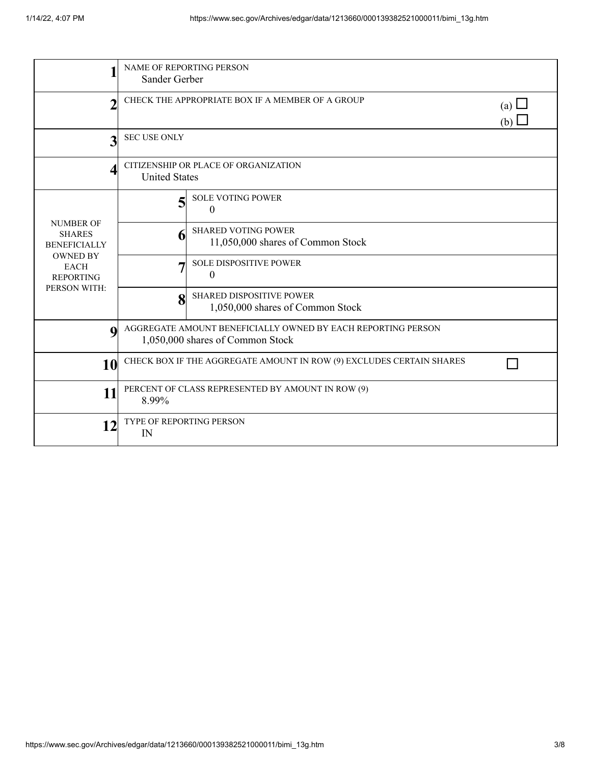|                                                                                                                                | <b>NAME OF REPORTING PERSON</b><br>Sander Gerber                                                 |                                                                     |  |  |
|--------------------------------------------------------------------------------------------------------------------------------|--------------------------------------------------------------------------------------------------|---------------------------------------------------------------------|--|--|
|                                                                                                                                | CHECK THE APPROPRIATE BOX IF A MEMBER OF A GROUP                                                 | (a) $\Box$<br>(b) $\Box$                                            |  |  |
| 3                                                                                                                              | <b>SEC USE ONLY</b>                                                                              |                                                                     |  |  |
| Δ                                                                                                                              | CITIZENSHIP OR PLACE OF ORGANIZATION<br><b>United States</b>                                     |                                                                     |  |  |
| <b>NUMBER OF</b><br><b>SHARES</b><br><b>BENEFICIALLY</b><br><b>OWNED BY</b><br><b>EACH</b><br><b>REPORTING</b><br>PERSON WITH: | 5                                                                                                | <b>SOLE VOTING POWER</b><br>$\theta$                                |  |  |
|                                                                                                                                | n                                                                                                | <b>SHARED VOTING POWER</b><br>11,050,000 shares of Common Stock     |  |  |
|                                                                                                                                |                                                                                                  | <b>SOLE DISPOSITIVE POWER</b><br>$\boldsymbol{0}$                   |  |  |
|                                                                                                                                | 8                                                                                                | <b>SHARED DISPOSITIVE POWER</b><br>1,050,000 shares of Common Stock |  |  |
| $\Omega$                                                                                                                       | AGGREGATE AMOUNT BENEFICIALLY OWNED BY EACH REPORTING PERSON<br>1,050,000 shares of Common Stock |                                                                     |  |  |
| 10                                                                                                                             | CHECK BOX IF THE AGGREGATE AMOUNT IN ROW (9) EXCLUDES CERTAIN SHARES                             |                                                                     |  |  |
| 11                                                                                                                             | PERCENT OF CLASS REPRESENTED BY AMOUNT IN ROW (9)<br>8.99%                                       |                                                                     |  |  |
| 12                                                                                                                             | <b>TYPE OF REPORTING PERSON</b><br>IN                                                            |                                                                     |  |  |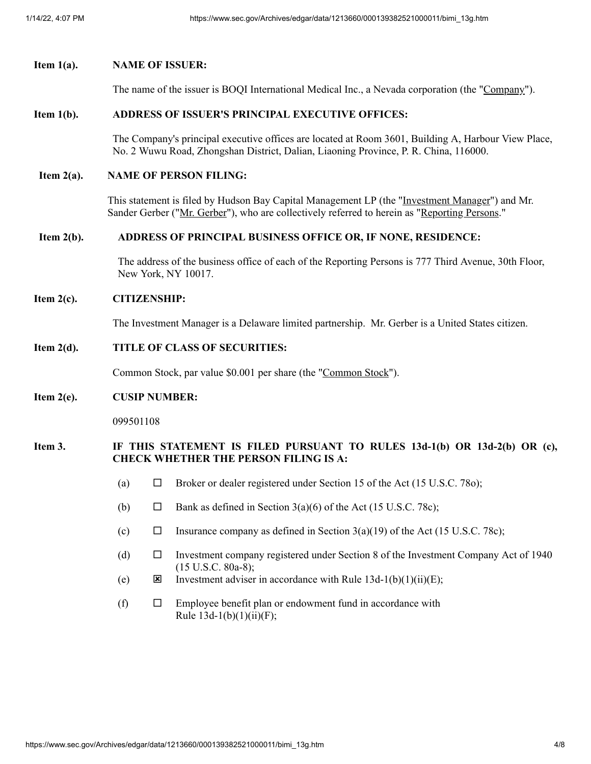# **Item 1(a). NAME OF ISSUER:**

The name of the issuer is BOQI International Medical Inc., a Nevada corporation (the "Company").

### **Item 1(b). ADDRESS OF ISSUER'S PRINCIPAL EXECUTIVE OFFICES:**

The Company's principal executive offices are located at Room 3601, Building A, Harbour View Place, No. 2 Wuwu Road, Zhongshan District, Dalian, Liaoning Province, P. R. China, 116000.

### **Item 2(a). NAME OF PERSON FILING:**

This statement is filed by Hudson Bay Capital Management LP (the "Investment Manager") and Mr. Sander Gerber ("Mr. Gerber"), who are collectively referred to herein as "Reporting Persons."

### **Item 2(b). ADDRESS OF PRINCIPAL BUSINESS OFFICE OR, IF NONE, RESIDENCE:**

The address of the business office of each of the Reporting Persons is 777 Third Avenue, 30th Floor, New York, NY 10017.

### **Item 2(c). CITIZENSHIP:**

The Investment Manager is a Delaware limited partnership. Mr. Gerber is a United States citizen.

## **Item 2(d). TITLE OF CLASS OF SECURITIES:**

Common Stock, par value \$0.001 per share (the "Common Stock").

### **Item 2(e). CUSIP NUMBER:**

099501108

### **Item 3. IF THIS STATEMENT IS FILED PURSUANT TO RULES 13d-1(b) OR 13d-2(b) OR (c), CHECK WHETHER THE PERSON FILING IS A:**

- (a)  $\Box$  Broker or dealer registered under Section 15 of the Act (15 U.S.C. 780);
- (b)  $\Box$  Bank as defined in Section 3(a)(6) of the Act (15 U.S.C. 78c);
- (c)  $\Box$  Insurance company as defined in Section 3(a)(19) of the Act (15 U.S.C. 78c);
- (d)  $\Box$  Investment company registered under Section 8 of the Investment Company Act of 1940 (15 U.S.C. 80a-8);
- (e)  $\qquad \qquad \boxed{\mathbf{\Sigma}}$  Investment adviser in accordance with Rule 13d-1(b)(1)(ii)(E);
- (f)  $\square$  Employee benefit plan or endowment fund in accordance with Rule  $13d-1(b)(1)(ii)(F);$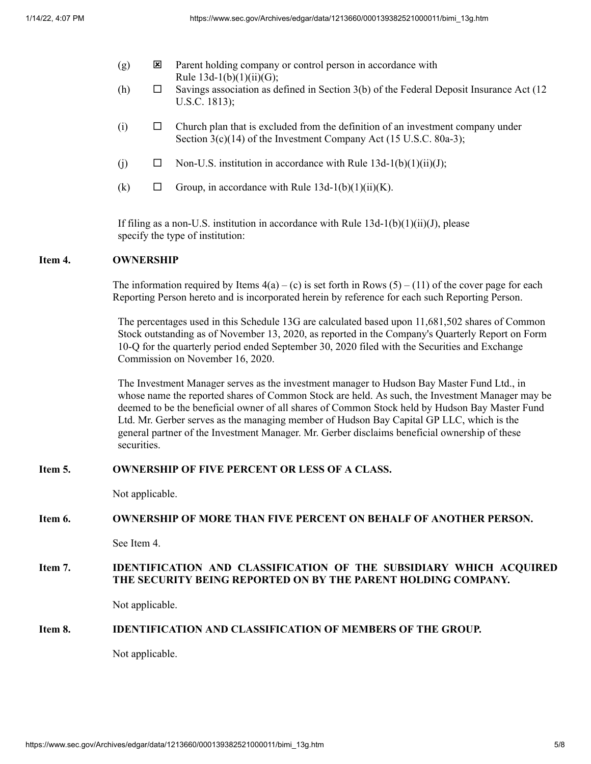- $(g)$  **E** Parent holding company or control person in accordance with Rule  $13d-1(b)(1)(ii)(G);$
- (h)  $\Box$  Savings association as defined in Section 3(b) of the Federal Deposit Insurance Act (12) U.S.C. 1813);
- $(i)$   $\square$  Church plan that is excluded from the definition of an investment company under Section 3(c)(14) of the Investment Company Act (15 U.S.C. 80a-3);
- (j)  $\Box$  Non-U.S. institution in accordance with Rule 13d-1(b)(1)(ii)(J);
- (k)  $\Box$  Group, in accordance with Rule 13d-1(b)(1)(ii)(K).

If filing as a non-U.S. institution in accordance with Rule  $13d-1(b)(1)(ii)(J)$ , please specify the type of institution:

### **Item 4. OWNERSHIP**

The information required by Items  $4(a) - (c)$  is set forth in Rows  $(5) - (11)$  of the cover page for each Reporting Person hereto and is incorporated herein by reference for each such Reporting Person.

The percentages used in this Schedule 13G are calculated based upon 11,681,502 shares of Common Stock outstanding as of November 13, 2020, as reported in the Company's Quarterly Report on Form 10-Q for the quarterly period ended September 30, 2020 filed with the Securities and Exchange Commission on November 16, 2020.

The Investment Manager serves as the investment manager to Hudson Bay Master Fund Ltd., in whose name the reported shares of Common Stock are held. As such, the Investment Manager may be deemed to be the beneficial owner of all shares of Common Stock held by Hudson Bay Master Fund Ltd. Mr. Gerber serves as the managing member of Hudson Bay Capital GP LLC, which is the general partner of the Investment Manager. Mr. Gerber disclaims beneficial ownership of these securities.

# **Item 5. OWNERSHIP OF FIVE PERCENT OR LESS OF A CLASS.**

Not applicable.

#### **Item 6. OWNERSHIP OF MORE THAN FIVE PERCENT ON BEHALF OF ANOTHER PERSON.**

See Item 4.

# **Item 7. IDENTIFICATION AND CLASSIFICATION OF THE SUBSIDIARY WHICH ACQUIRED THE SECURITY BEING REPORTED ON BY THE PARENT HOLDING COMPANY.**

Not applicable.

#### **Item 8. IDENTIFICATION AND CLASSIFICATION OF MEMBERS OF THE GROUP.**

Not applicable.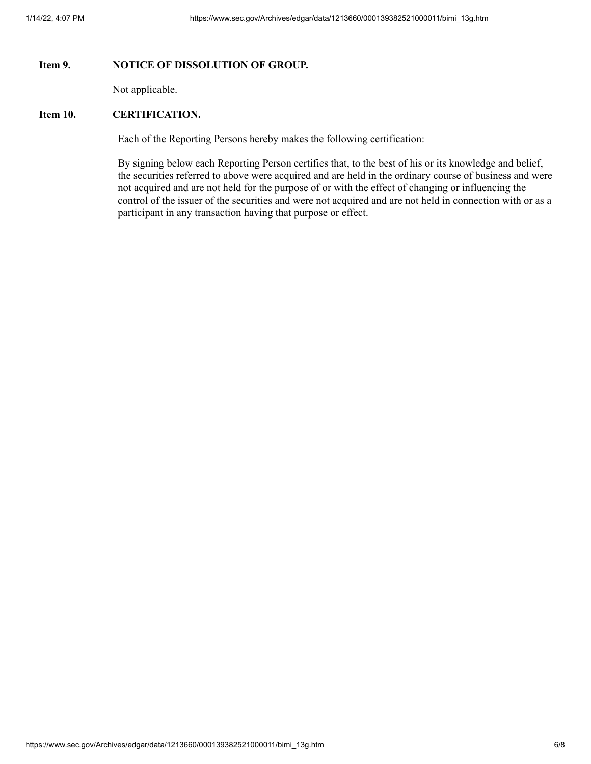### **Item 9. NOTICE OF DISSOLUTION OF GROUP.**

Not applicable.

### **Item 10. CERTIFICATION.**

Each of the Reporting Persons hereby makes the following certification:

By signing below each Reporting Person certifies that, to the best of his or its knowledge and belief, the securities referred to above were acquired and are held in the ordinary course of business and were not acquired and are not held for the purpose of or with the effect of changing or influencing the control of the issuer of the securities and were not acquired and are not held in connection with or as a participant in any transaction having that purpose or effect.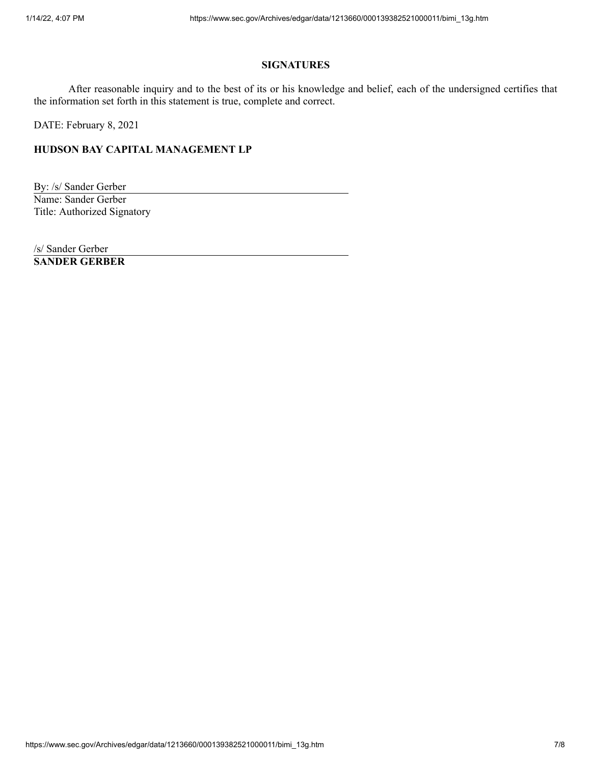# **SIGNATURES**

After reasonable inquiry and to the best of its or his knowledge and belief, each of the undersigned certifies that the information set forth in this statement is true, complete and correct.

DATE: February 8, 2021

## **HUDSON BAY CAPITAL MANAGEMENT LP**

By: /s/ Sander Gerber Name: Sander Gerber Title: Authorized Signatory

/s/ Sander Gerber **SANDER GERBER**